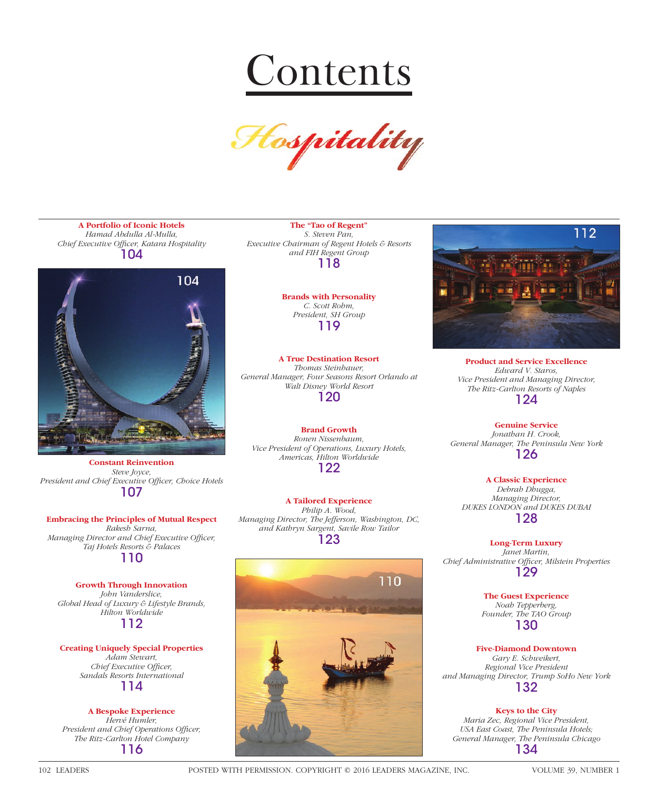



**A Portfolio of Iconic Hotels** *Hamad Abdulla Al-Mulla, Chief Executive Offi cer, Katara Hospitality* 104



**Constant Reinvention** *Steve Joyce,*  President and Chief Executive Officer, Choice Hotels 107

### **Embracing the Principles of Mutual Respect**

*Rakesh Sarna, Managing Director and Chief Executive Officer, Taj Hotels Resorts & Palaces* 110

## **Growth Through Innovation**

*John Vanderslice, Global Head of Luxury & Lifestyle Brands, Hilton Worldwide* 112

**Creating Uniquely Special Properties** *Adam Stewart, Chief Executive Officer, Sandals Resorts International* 114

# **A Bespoke Experience** *Hervé Humler,*  President and Chief Operations Officer, *The Ritz-Carlton Hotel Company*

116

**The "Tao of Regent"** *S. Steven Pan, Executive Chairman of Regent Hotels & Resorts and FIH Regent Group* 118

> **Brands with Personality** *C. Scott Rohm, President, SH Group* 119

**A True Destination Resort** *Thomas Steinhauer, General Manager, Four Seasons Resort Orlando at Walt Disney World Resort* 120

**Brand Growth** *Ronen Nissenbaum, Vice President of Operations, Luxury Hotels, Americas, Hilton Worldwide* 122

**A Tailored Experience** *Philip A. Wood, Managing Director, The Jefferson, Washington, DC, and Kathryn Sargent, Savile Row Tailor* 123





**Product and Service Excellence** *Edward V. Staros, Vice President and Managing Director, The Ritz-Carlton Resorts of Naples* 124

**Genuine Service** *Jonathan H. Crook, General Manager, The Peninsula New York*

126

**A Classic Experience** *Debrah Dhugga, Managing Director, DUKES LONDON and DUKES DUBAI* 128

**Long-Term Luxury** *Janet Martin, Chief Administrative Offi cer, Milstein Properties* 129

> **The Guest Experience** *Noah Tepperberg, Founder, The TAO Group* 130

**Five-Diamond Downtown** *Gary E. Schweikert, Regional Vice President and Managing Director, Trump SoHo New York* 132

**Keys to the City** *Maria Zec, Regional Vice President, USA East Coast, The Peninsula Hotels; General Manager, The Peninsula Chicago* 134

102 LEADERS POSTED WITH PERMISSION. COPYRIGHT © 2016 LEADERS MAGAZINE, INC. VOLUME 39, NUMBER 1